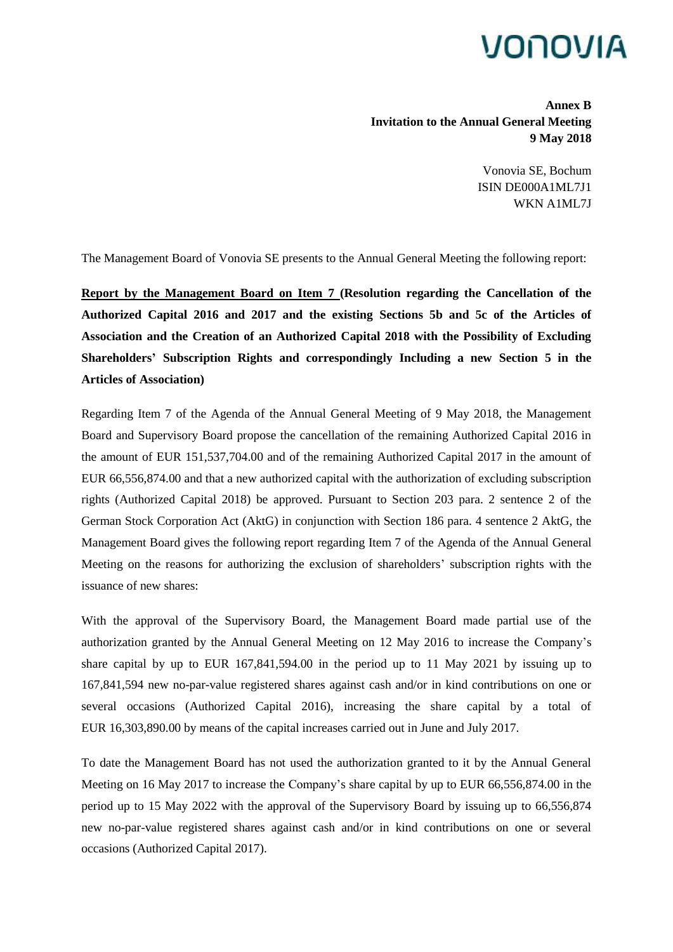## VONOVIA

**Annex B Invitation to the Annual General Meeting 9 May 2018**

> Vonovia SE, Bochum ISIN DE000A1ML7J1 WKN A1ML7J

The Management Board of Vonovia SE presents to the Annual General Meeting the following report:

**Report by the Management Board on Item 7 (Resolution regarding the Cancellation of the Authorized Capital 2016 and 2017 and the existing Sections 5b and 5c of the Articles of Association and the Creation of an Authorized Capital 2018 with the Possibility of Excluding Shareholders' Subscription Rights and correspondingly Including a new Section 5 in the Articles of Association)**

Regarding Item 7 of the Agenda of the Annual General Meeting of 9 May 2018, the Management Board and Supervisory Board propose the cancellation of the remaining Authorized Capital 2016 in the amount of EUR 151,537,704.00 and of the remaining Authorized Capital 2017 in the amount of EUR 66,556,874.00 and that a new authorized capital with the authorization of excluding subscription rights (Authorized Capital 2018) be approved. Pursuant to Section 203 para. 2 sentence 2 of the German Stock Corporation Act (AktG) in conjunction with Section 186 para. 4 sentence 2 AktG, the Management Board gives the following report regarding Item 7 of the Agenda of the Annual General Meeting on the reasons for authorizing the exclusion of shareholders' subscription rights with the issuance of new shares:

With the approval of the Supervisory Board, the Management Board made partial use of the authorization granted by the Annual General Meeting on 12 May 2016 to increase the Company's share capital by up to EUR 167,841,594.00 in the period up to 11 May 2021 by issuing up to 167,841,594 new no-par-value registered shares against cash and/or in kind contributions on one or several occasions (Authorized Capital 2016), increasing the share capital by a total of EUR 16,303,890.00 by means of the capital increases carried out in June and July 2017.

To date the Management Board has not used the authorization granted to it by the Annual General Meeting on 16 May 2017 to increase the Company's share capital by up to EUR 66,556,874.00 in the period up to 15 May 2022 with the approval of the Supervisory Board by issuing up to 66,556,874 new no-par-value registered shares against cash and/or in kind contributions on one or several occasions (Authorized Capital 2017).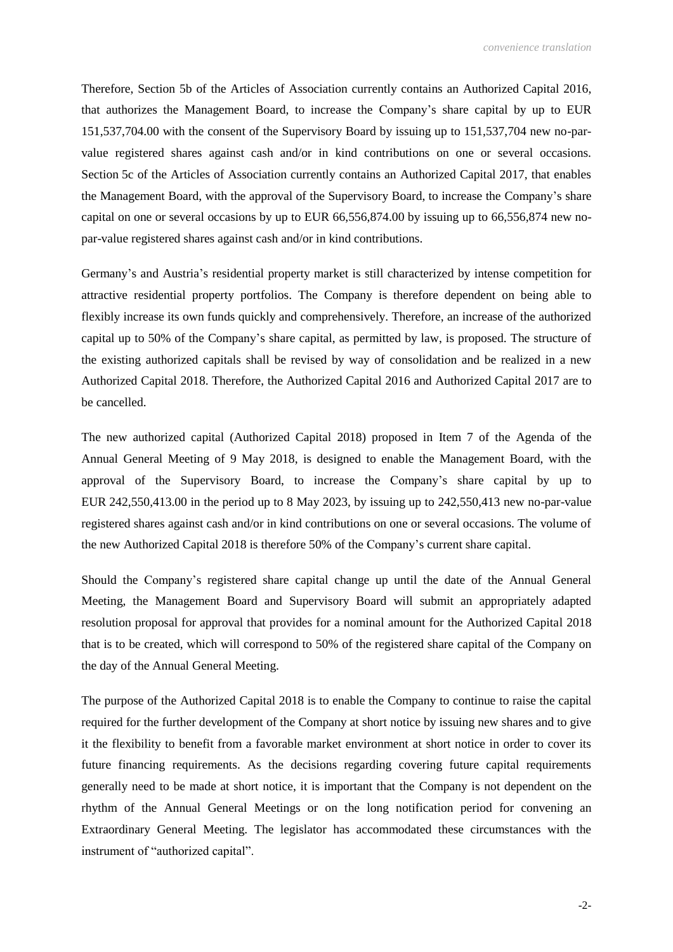Therefore, Section 5b of the Articles of Association currently contains an Authorized Capital 2016, that authorizes the Management Board, to increase the Company's share capital by up to EUR 151,537,704.00 with the consent of the Supervisory Board by issuing up to 151,537,704 new no-parvalue registered shares against cash and/or in kind contributions on one or several occasions. Section 5c of the Articles of Association currently contains an Authorized Capital 2017, that enables the Management Board, with the approval of the Supervisory Board, to increase the Company's share capital on one or several occasions by up to EUR 66,556,874.00 by issuing up to 66,556,874 new nopar-value registered shares against cash and/or in kind contributions.

Germany's and Austria's residential property market is still characterized by intense competition for attractive residential property portfolios. The Company is therefore dependent on being able to flexibly increase its own funds quickly and comprehensively. Therefore, an increase of the authorized capital up to 50% of the Company's share capital, as permitted by law, is proposed. The structure of the existing authorized capitals shall be revised by way of consolidation and be realized in a new Authorized Capital 2018. Therefore, the Authorized Capital 2016 and Authorized Capital 2017 are to be cancelled.

The new authorized capital (Authorized Capital 2018) proposed in Item 7 of the Agenda of the Annual General Meeting of 9 May 2018, is designed to enable the Management Board, with the approval of the Supervisory Board, to increase the Company's share capital by up to EUR 242,550,413.00 in the period up to 8 May 2023, by issuing up to 242,550,413 new no-par-value registered shares against cash and/or in kind contributions on one or several occasions. The volume of the new Authorized Capital 2018 is therefore 50% of the Company's current share capital.

Should the Company's registered share capital change up until the date of the Annual General Meeting, the Management Board and Supervisory Board will submit an appropriately adapted resolution proposal for approval that provides for a nominal amount for the Authorized Capital 2018 that is to be created, which will correspond to 50% of the registered share capital of the Company on the day of the Annual General Meeting.

The purpose of the Authorized Capital 2018 is to enable the Company to continue to raise the capital required for the further development of the Company at short notice by issuing new shares and to give it the flexibility to benefit from a favorable market environment at short notice in order to cover its future financing requirements. As the decisions regarding covering future capital requirements generally need to be made at short notice, it is important that the Company is not dependent on the rhythm of the Annual General Meetings or on the long notification period for convening an Extraordinary General Meeting. The legislator has accommodated these circumstances with the instrument of "authorized capital".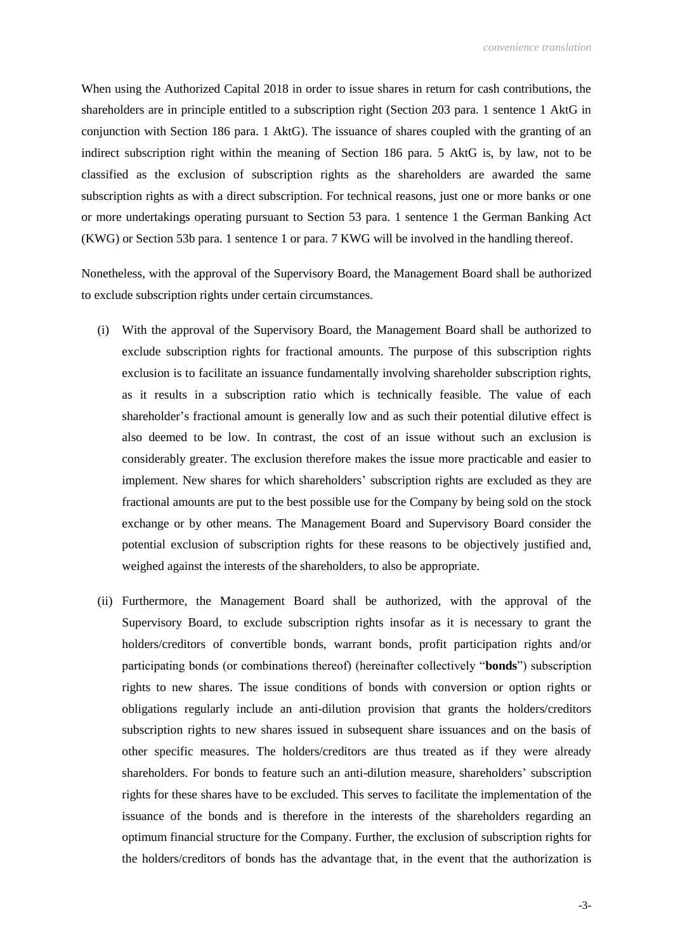When using the Authorized Capital 2018 in order to issue shares in return for cash contributions, the shareholders are in principle entitled to a subscription right (Section 203 para. 1 sentence 1 AktG in conjunction with Section 186 para. 1 AktG). The issuance of shares coupled with the granting of an indirect subscription right within the meaning of Section 186 para. 5 AktG is, by law, not to be classified as the exclusion of subscription rights as the shareholders are awarded the same subscription rights as with a direct subscription. For technical reasons, just one or more banks or one or more undertakings operating pursuant to Section 53 para. 1 sentence 1 the German Banking Act (KWG) or Section 53b para. 1 sentence 1 or para. 7 KWG will be involved in the handling thereof.

Nonetheless, with the approval of the Supervisory Board, the Management Board shall be authorized to exclude subscription rights under certain circumstances.

- (i) With the approval of the Supervisory Board, the Management Board shall be authorized to exclude subscription rights for fractional amounts. The purpose of this subscription rights exclusion is to facilitate an issuance fundamentally involving shareholder subscription rights, as it results in a subscription ratio which is technically feasible. The value of each shareholder's fractional amount is generally low and as such their potential dilutive effect is also deemed to be low. In contrast, the cost of an issue without such an exclusion is considerably greater. The exclusion therefore makes the issue more practicable and easier to implement. New shares for which shareholders' subscription rights are excluded as they are fractional amounts are put to the best possible use for the Company by being sold on the stock exchange or by other means. The Management Board and Supervisory Board consider the potential exclusion of subscription rights for these reasons to be objectively justified and, weighed against the interests of the shareholders, to also be appropriate.
- (ii) Furthermore, the Management Board shall be authorized, with the approval of the Supervisory Board, to exclude subscription rights insofar as it is necessary to grant the holders/creditors of convertible bonds, warrant bonds, profit participation rights and/or participating bonds (or combinations thereof) (hereinafter collectively "**bonds**") subscription rights to new shares. The issue conditions of bonds with conversion or option rights or obligations regularly include an anti-dilution provision that grants the holders/creditors subscription rights to new shares issued in subsequent share issuances and on the basis of other specific measures. The holders/creditors are thus treated as if they were already shareholders. For bonds to feature such an anti-dilution measure, shareholders' subscription rights for these shares have to be excluded. This serves to facilitate the implementation of the issuance of the bonds and is therefore in the interests of the shareholders regarding an optimum financial structure for the Company. Further, the exclusion of subscription rights for the holders/creditors of bonds has the advantage that, in the event that the authorization is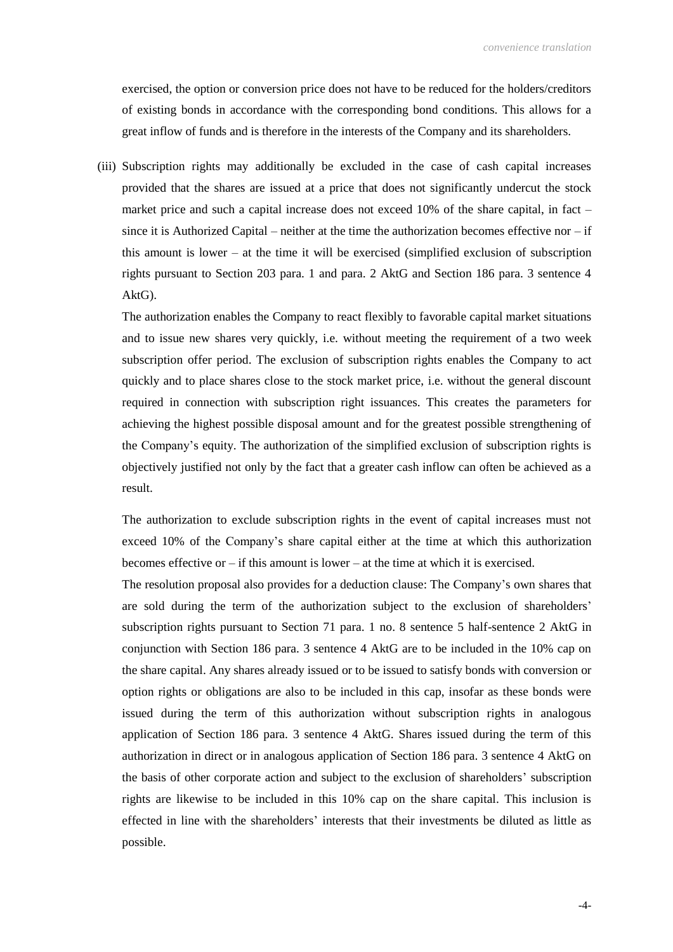exercised, the option or conversion price does not have to be reduced for the holders/creditors of existing bonds in accordance with the corresponding bond conditions. This allows for a great inflow of funds and is therefore in the interests of the Company and its shareholders.

(iii) Subscription rights may additionally be excluded in the case of cash capital increases provided that the shares are issued at a price that does not significantly undercut the stock market price and such a capital increase does not exceed 10% of the share capital, in fact – since it is Authorized Capital – neither at the time the authorization becomes effective nor  $-$  if this amount is lower – at the time it will be exercised (simplified exclusion of subscription rights pursuant to Section 203 para. 1 and para. 2 AktG and Section 186 para. 3 sentence 4 AktG).

The authorization enables the Company to react flexibly to favorable capital market situations and to issue new shares very quickly, i.e. without meeting the requirement of a two week subscription offer period. The exclusion of subscription rights enables the Company to act quickly and to place shares close to the stock market price, i.e. without the general discount required in connection with subscription right issuances. This creates the parameters for achieving the highest possible disposal amount and for the greatest possible strengthening of the Company's equity. The authorization of the simplified exclusion of subscription rights is objectively justified not only by the fact that a greater cash inflow can often be achieved as a result.

The authorization to exclude subscription rights in the event of capital increases must not exceed 10% of the Company's share capital either at the time at which this authorization becomes effective or – if this amount is lower – at the time at which it is exercised.

The resolution proposal also provides for a deduction clause: The Company's own shares that are sold during the term of the authorization subject to the exclusion of shareholders' subscription rights pursuant to Section 71 para. 1 no. 8 sentence 5 half-sentence 2 AktG in conjunction with Section 186 para. 3 sentence 4 AktG are to be included in the 10% cap on the share capital. Any shares already issued or to be issued to satisfy bonds with conversion or option rights or obligations are also to be included in this cap, insofar as these bonds were issued during the term of this authorization without subscription rights in analogous application of Section 186 para. 3 sentence 4 AktG. Shares issued during the term of this authorization in direct or in analogous application of Section 186 para. 3 sentence 4 AktG on the basis of other corporate action and subject to the exclusion of shareholders' subscription rights are likewise to be included in this 10% cap on the share capital. This inclusion is effected in line with the shareholders' interests that their investments be diluted as little as possible.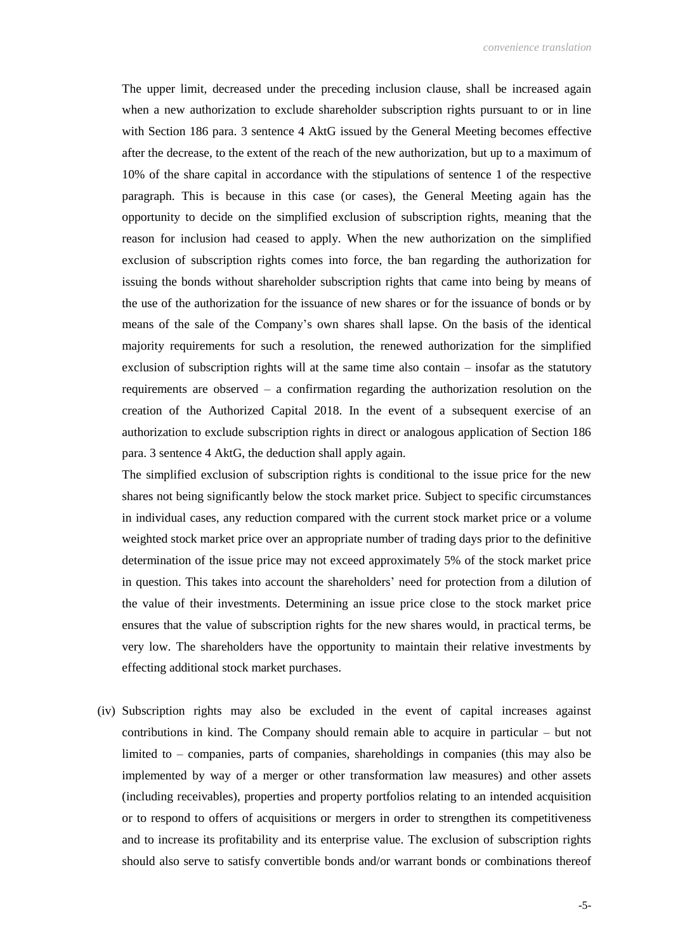The upper limit, decreased under the preceding inclusion clause, shall be increased again when a new authorization to exclude shareholder subscription rights pursuant to or in line with Section 186 para. 3 sentence 4 AktG issued by the General Meeting becomes effective after the decrease, to the extent of the reach of the new authorization, but up to a maximum of 10% of the share capital in accordance with the stipulations of sentence 1 of the respective paragraph. This is because in this case (or cases), the General Meeting again has the opportunity to decide on the simplified exclusion of subscription rights, meaning that the reason for inclusion had ceased to apply. When the new authorization on the simplified exclusion of subscription rights comes into force, the ban regarding the authorization for issuing the bonds without shareholder subscription rights that came into being by means of the use of the authorization for the issuance of new shares or for the issuance of bonds or by means of the sale of the Company's own shares shall lapse. On the basis of the identical majority requirements for such a resolution, the renewed authorization for the simplified exclusion of subscription rights will at the same time also contain – insofar as the statutory requirements are observed – a confirmation regarding the authorization resolution on the creation of the Authorized Capital 2018. In the event of a subsequent exercise of an authorization to exclude subscription rights in direct or analogous application of Section 186 para. 3 sentence 4 AktG, the deduction shall apply again.

The simplified exclusion of subscription rights is conditional to the issue price for the new shares not being significantly below the stock market price. Subject to specific circumstances in individual cases, any reduction compared with the current stock market price or a volume weighted stock market price over an appropriate number of trading days prior to the definitive determination of the issue price may not exceed approximately 5% of the stock market price in question. This takes into account the shareholders' need for protection from a dilution of the value of their investments. Determining an issue price close to the stock market price ensures that the value of subscription rights for the new shares would, in practical terms, be very low. The shareholders have the opportunity to maintain their relative investments by effecting additional stock market purchases.

(iv) Subscription rights may also be excluded in the event of capital increases against contributions in kind. The Company should remain able to acquire in particular – but not limited to – companies, parts of companies, shareholdings in companies (this may also be implemented by way of a merger or other transformation law measures) and other assets (including receivables), properties and property portfolios relating to an intended acquisition or to respond to offers of acquisitions or mergers in order to strengthen its competitiveness and to increase its profitability and its enterprise value. The exclusion of subscription rights should also serve to satisfy convertible bonds and/or warrant bonds or combinations thereof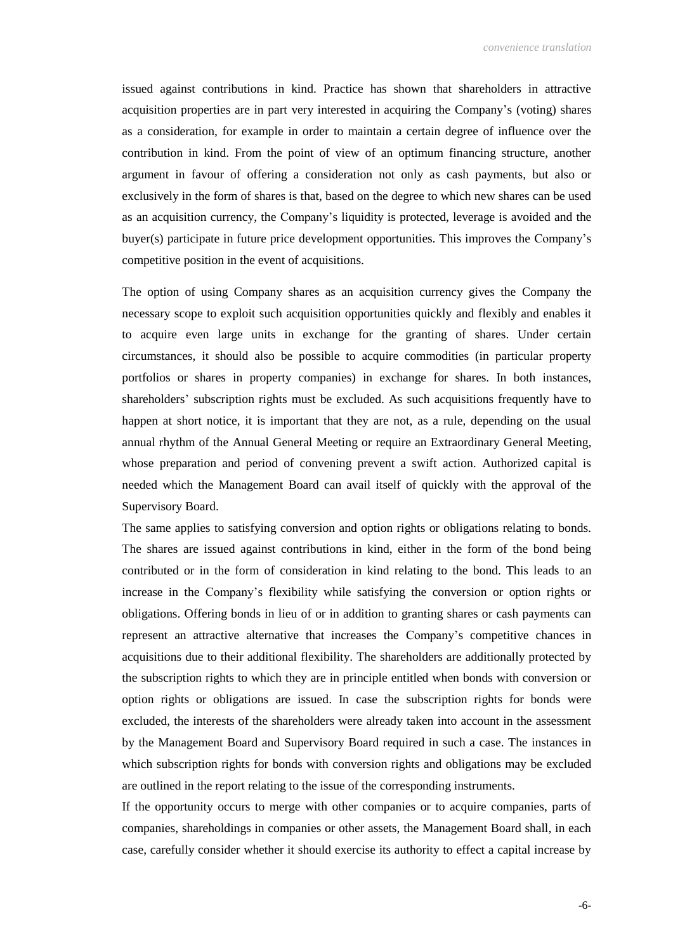issued against contributions in kind. Practice has shown that shareholders in attractive acquisition properties are in part very interested in acquiring the Company's (voting) shares as a consideration, for example in order to maintain a certain degree of influence over the contribution in kind. From the point of view of an optimum financing structure, another argument in favour of offering a consideration not only as cash payments, but also or exclusively in the form of shares is that, based on the degree to which new shares can be used as an acquisition currency, the Company's liquidity is protected, leverage is avoided and the buyer(s) participate in future price development opportunities. This improves the Company's competitive position in the event of acquisitions.

The option of using Company shares as an acquisition currency gives the Company the necessary scope to exploit such acquisition opportunities quickly and flexibly and enables it to acquire even large units in exchange for the granting of shares. Under certain circumstances, it should also be possible to acquire commodities (in particular property portfolios or shares in property companies) in exchange for shares. In both instances, shareholders' subscription rights must be excluded. As such acquisitions frequently have to happen at short notice, it is important that they are not, as a rule, depending on the usual annual rhythm of the Annual General Meeting or require an Extraordinary General Meeting, whose preparation and period of convening prevent a swift action. Authorized capital is needed which the Management Board can avail itself of quickly with the approval of the Supervisory Board.

The same applies to satisfying conversion and option rights or obligations relating to bonds. The shares are issued against contributions in kind, either in the form of the bond being contributed or in the form of consideration in kind relating to the bond. This leads to an increase in the Company's flexibility while satisfying the conversion or option rights or obligations. Offering bonds in lieu of or in addition to granting shares or cash payments can represent an attractive alternative that increases the Company's competitive chances in acquisitions due to their additional flexibility. The shareholders are additionally protected by the subscription rights to which they are in principle entitled when bonds with conversion or option rights or obligations are issued. In case the subscription rights for bonds were excluded, the interests of the shareholders were already taken into account in the assessment by the Management Board and Supervisory Board required in such a case. The instances in which subscription rights for bonds with conversion rights and obligations may be excluded are outlined in the report relating to the issue of the corresponding instruments.

If the opportunity occurs to merge with other companies or to acquire companies, parts of companies, shareholdings in companies or other assets, the Management Board shall, in each case, carefully consider whether it should exercise its authority to effect a capital increase by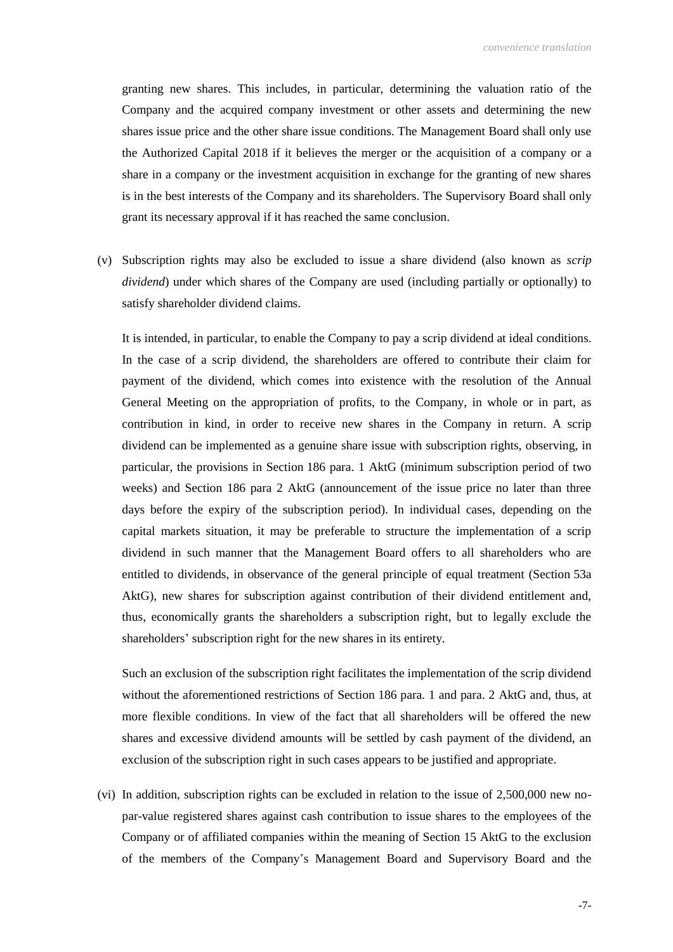granting new shares. This includes, in particular, determining the valuation ratio of the Company and the acquired company investment or other assets and determining the new shares issue price and the other share issue conditions. The Management Board shall only use the Authorized Capital 2018 if it believes the merger or the acquisition of a company or a share in a company or the investment acquisition in exchange for the granting of new shares is in the best interests of the Company and its shareholders. The Supervisory Board shall only grant its necessary approval if it has reached the same conclusion.

(v) Subscription rights may also be excluded to issue a share dividend (also known as *scrip dividend*) under which shares of the Company are used (including partially or optionally) to satisfy shareholder dividend claims.

It is intended, in particular, to enable the Company to pay a scrip dividend at ideal conditions. In the case of a scrip dividend, the shareholders are offered to contribute their claim for payment of the dividend, which comes into existence with the resolution of the Annual General Meeting on the appropriation of profits, to the Company, in whole or in part, as contribution in kind, in order to receive new shares in the Company in return. A scrip dividend can be implemented as a genuine share issue with subscription rights, observing, in particular, the provisions in Section 186 para. 1 AktG (minimum subscription period of two weeks) and Section 186 para 2 AktG (announcement of the issue price no later than three days before the expiry of the subscription period). In individual cases, depending on the capital markets situation, it may be preferable to structure the implementation of a scrip dividend in such manner that the Management Board offers to all shareholders who are entitled to dividends, in observance of the general principle of equal treatment (Section 53a AktG), new shares for subscription against contribution of their dividend entitlement and, thus, economically grants the shareholders a subscription right, but to legally exclude the shareholders' subscription right for the new shares in its entirety.

Such an exclusion of the subscription right facilitates the implementation of the scrip dividend without the aforementioned restrictions of Section 186 para. 1 and para. 2 AktG and, thus, at more flexible conditions. In view of the fact that all shareholders will be offered the new shares and excessive dividend amounts will be settled by cash payment of the dividend, an exclusion of the subscription right in such cases appears to be justified and appropriate.

(vi) In addition, subscription rights can be excluded in relation to the issue of 2,500,000 new nopar-value registered shares against cash contribution to issue shares to the employees of the Company or of affiliated companies within the meaning of Section 15 AktG to the exclusion of the members of the Company's Management Board and Supervisory Board and the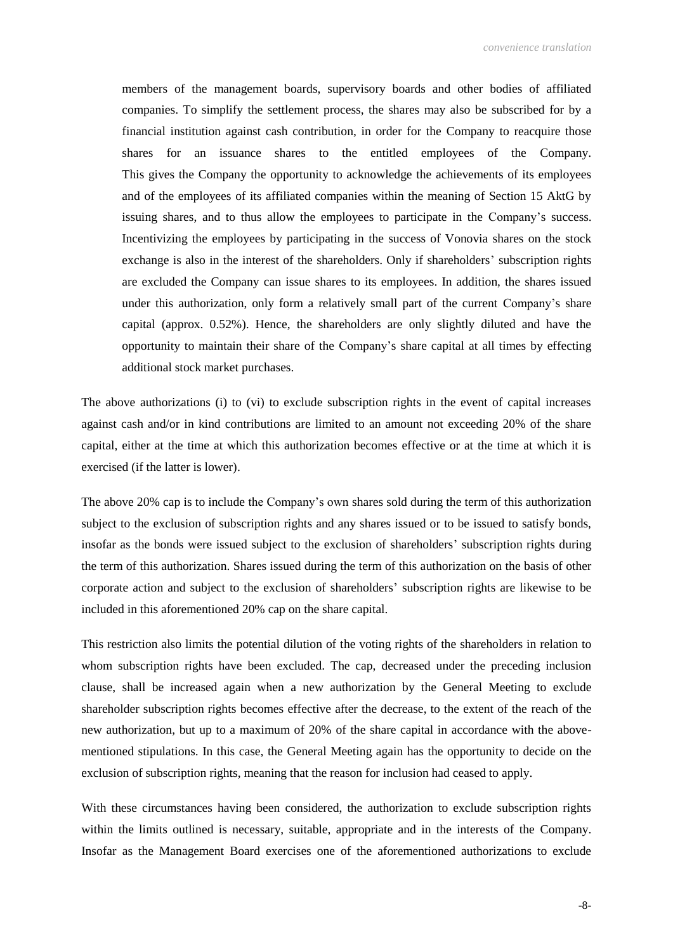members of the management boards, supervisory boards and other bodies of affiliated companies. To simplify the settlement process, the shares may also be subscribed for by a financial institution against cash contribution, in order for the Company to reacquire those shares for an issuance shares to the entitled employees of the Company. This gives the Company the opportunity to acknowledge the achievements of its employees and of the employees of its affiliated companies within the meaning of Section 15 AktG by issuing shares, and to thus allow the employees to participate in the Company's success. Incentivizing the employees by participating in the success of Vonovia shares on the stock exchange is also in the interest of the shareholders. Only if shareholders' subscription rights are excluded the Company can issue shares to its employees. In addition, the shares issued under this authorization, only form a relatively small part of the current Company's share capital (approx. 0.52%). Hence, the shareholders are only slightly diluted and have the opportunity to maintain their share of the Company's share capital at all times by effecting additional stock market purchases.

The above authorizations (i) to (vi) to exclude subscription rights in the event of capital increases against cash and/or in kind contributions are limited to an amount not exceeding 20% of the share capital, either at the time at which this authorization becomes effective or at the time at which it is exercised (if the latter is lower).

The above 20% cap is to include the Company's own shares sold during the term of this authorization subject to the exclusion of subscription rights and any shares issued or to be issued to satisfy bonds, insofar as the bonds were issued subject to the exclusion of shareholders' subscription rights during the term of this authorization. Shares issued during the term of this authorization on the basis of other corporate action and subject to the exclusion of shareholders' subscription rights are likewise to be included in this aforementioned 20% cap on the share capital.

This restriction also limits the potential dilution of the voting rights of the shareholders in relation to whom subscription rights have been excluded. The cap, decreased under the preceding inclusion clause, shall be increased again when a new authorization by the General Meeting to exclude shareholder subscription rights becomes effective after the decrease, to the extent of the reach of the new authorization, but up to a maximum of 20% of the share capital in accordance with the abovementioned stipulations. In this case, the General Meeting again has the opportunity to decide on the exclusion of subscription rights, meaning that the reason for inclusion had ceased to apply.

With these circumstances having been considered, the authorization to exclude subscription rights within the limits outlined is necessary, suitable, appropriate and in the interests of the Company. Insofar as the Management Board exercises one of the aforementioned authorizations to exclude